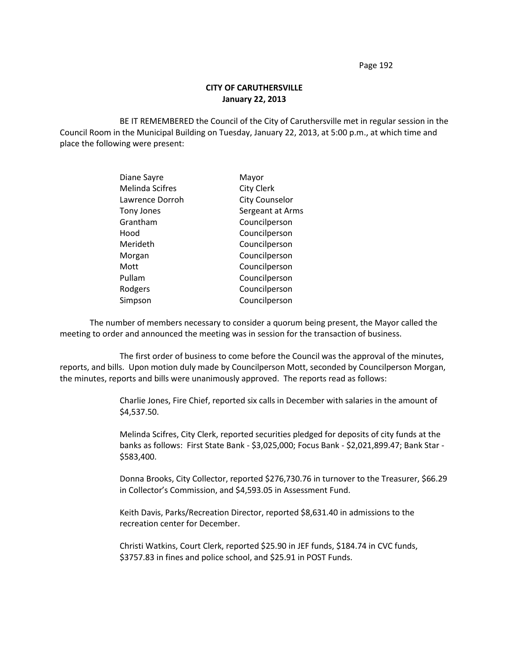## **CITY OF CARUTHERSVILLE January 22, 2013**

BE IT REMEMBERED the Council of the City of Caruthersville met in regular session in the Council Room in the Municipal Building on Tuesday, January 22, 2013, at 5:00 p.m., at which time and place the following were present:

| Diane Sayre            | Mayor                 |
|------------------------|-----------------------|
| <b>Melinda Scifres</b> | <b>City Clerk</b>     |
| Lawrence Dorroh        | <b>City Counselor</b> |
| Tony Jones             | Sergeant at Arms      |
| Grantham               | Councilperson         |
| Hood                   | Councilperson         |
| Merideth               | Councilperson         |
| Morgan                 | Councilperson         |
| Mott                   | Councilperson         |
| Pullam                 | Councilperson         |
| Rodgers                | Councilperson         |
| Simpson                | Councilperson         |

The number of members necessary to consider a quorum being present, the Mayor called the meeting to order and announced the meeting was in session for the transaction of business.

The first order of business to come before the Council was the approval of the minutes, reports, and bills. Upon motion duly made by Councilperson Mott, seconded by Councilperson Morgan, the minutes, reports and bills were unanimously approved. The reports read as follows:

> Charlie Jones, Fire Chief, reported six calls in December with salaries in the amount of \$4,537.50.

Melinda Scifres, City Clerk, reported securities pledged for deposits of city funds at the banks as follows: First State Bank - \$3,025,000; Focus Bank - \$2,021,899.47; Bank Star - \$583,400.

Donna Brooks, City Collector, reported \$276,730.76 in turnover to the Treasurer, \$66.29 in Collector's Commission, and \$4,593.05 in Assessment Fund.

Keith Davis, Parks/Recreation Director, reported \$8,631.40 in admissions to the recreation center for December.

Christi Watkins, Court Clerk, reported \$25.90 in JEF funds, \$184.74 in CVC funds, \$3757.83 in fines and police school, and \$25.91 in POST Funds.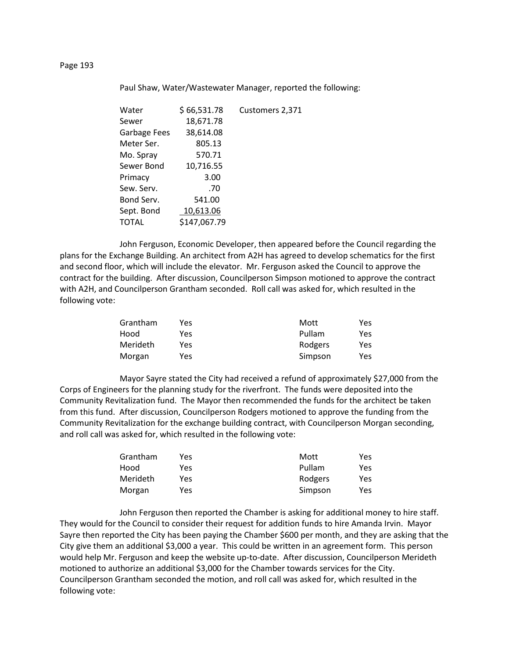Paul Shaw, Water/Wastewater Manager, reported the following:

| Water        | \$66,531.78  | Customers 2,371 |
|--------------|--------------|-----------------|
| Sewer        | 18,671.78    |                 |
| Garbage Fees | 38,614.08    |                 |
| Meter Ser.   | 805.13       |                 |
| Mo. Spray    | 570.71       |                 |
| Sewer Bond   | 10,716.55    |                 |
| Primacy      | 3.00         |                 |
| Sew. Serv.   | .70          |                 |
| Bond Serv.   | 541.00       |                 |
| Sept. Bond   | 10,613.06    |                 |
| TOTAL        | \$147,067.79 |                 |
|              |              |                 |

John Ferguson, Economic Developer, then appeared before the Council regarding the plans for the Exchange Building. An architect from A2H has agreed to develop schematics for the first and second floor, which will include the elevator. Mr. Ferguson asked the Council to approve the contract for the building. After discussion, Councilperson Simpson motioned to approve the contract with A2H, and Councilperson Grantham seconded. Roll call was asked for, which resulted in the following vote:

| Grantham | Yes. | Mott    | Yes |
|----------|------|---------|-----|
| Hood     | Yes  | Pullam  | Yes |
| Merideth | Yes. | Rodgers | Yes |
| Morgan   | Yes  | Simpson | Yes |

Mayor Sayre stated the City had received a refund of approximately \$27,000 from the Corps of Engineers for the planning study for the riverfront. The funds were deposited into the Community Revitalization fund. The Mayor then recommended the funds for the architect be taken from this fund. After discussion, Councilperson Rodgers motioned to approve the funding from the Community Revitalization for the exchange building contract, with Councilperson Morgan seconding, and roll call was asked for, which resulted in the following vote:

| Grantham | Yes | Mott    | Yes |
|----------|-----|---------|-----|
| Hood     | Yes | Pullam  | Yes |
| Merideth | Yes | Rodgers | Yes |
| Morgan   | Yes | Simpson | Yes |

John Ferguson then reported the Chamber is asking for additional money to hire staff. They would for the Council to consider their request for addition funds to hire Amanda Irvin. Mayor Sayre then reported the City has been paying the Chamber \$600 per month, and they are asking that the City give them an additional \$3,000 a year. This could be written in an agreement form. This person would help Mr. Ferguson and keep the website up-to-date. After discussion, Councilperson Merideth motioned to authorize an additional \$3,000 for the Chamber towards services for the City. Councilperson Grantham seconded the motion, and roll call was asked for, which resulted in the following vote: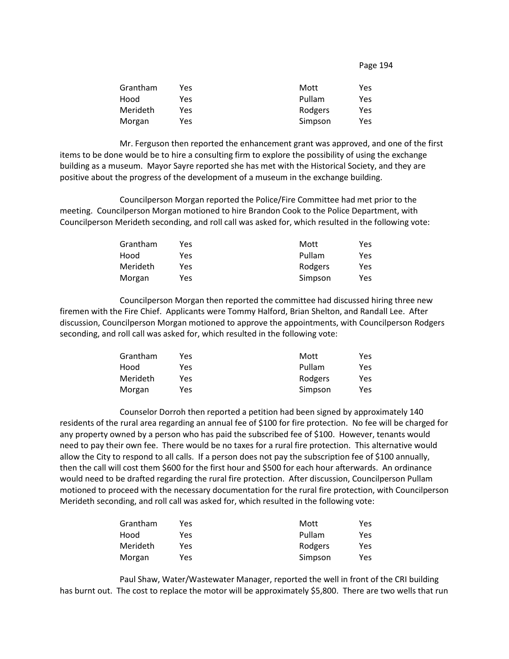| Grantham | Yes | Mott    | Yes |
|----------|-----|---------|-----|
| Hood     | Yes | Pullam  | Yes |
| Merideth | Yes | Rodgers | Yes |
| Morgan   | Yes | Simpson | Yes |

Mr. Ferguson then reported the enhancement grant was approved, and one of the first items to be done would be to hire a consulting firm to explore the possibility of using the exchange building as a museum. Mayor Sayre reported she has met with the Historical Society, and they are positive about the progress of the development of a museum in the exchange building.

Councilperson Morgan reported the Police/Fire Committee had met prior to the meeting. Councilperson Morgan motioned to hire Brandon Cook to the Police Department, with Councilperson Merideth seconding, and roll call was asked for, which resulted in the following vote:

| Grantham | Yes | Mott    | Yes |
|----------|-----|---------|-----|
| Hood     | Yes | Pullam  | Yes |
| Merideth | Yes | Rodgers | Yes |
| Morgan   | Yes | Simpson | Yes |

Councilperson Morgan then reported the committee had discussed hiring three new firemen with the Fire Chief. Applicants were Tommy Halford, Brian Shelton, and Randall Lee. After discussion, Councilperson Morgan motioned to approve the appointments, with Councilperson Rodgers seconding, and roll call was asked for, which resulted in the following vote:

| Grantham | Yes | Mott    | Yes |
|----------|-----|---------|-----|
| Hood     | Yes | Pullam  | Yes |
| Merideth | Yes | Rodgers | Yes |
| Morgan   | Yes | Simpson | Yes |

Counselor Dorroh then reported a petition had been signed by approximately 140 residents of the rural area regarding an annual fee of \$100 for fire protection. No fee will be charged for any property owned by a person who has paid the subscribed fee of \$100. However, tenants would need to pay their own fee. There would be no taxes for a rural fire protection. This alternative would allow the City to respond to all calls. If a person does not pay the subscription fee of \$100 annually, then the call will cost them \$600 for the first hour and \$500 for each hour afterwards. An ordinance would need to be drafted regarding the rural fire protection. After discussion, Councilperson Pullam motioned to proceed with the necessary documentation for the rural fire protection, with Councilperson Merideth seconding, and roll call was asked for, which resulted in the following vote:

| Yes. | Mott    | Yes |
|------|---------|-----|
| Yes  | Pullam  | Yes |
| Yes  | Rodgers | Yes |
| Yes  | Simpson | Yes |
|      |         |     |

Paul Shaw, Water/Wastewater Manager, reported the well in front of the CRI building has burnt out. The cost to replace the motor will be approximately \$5,800. There are two wells that run